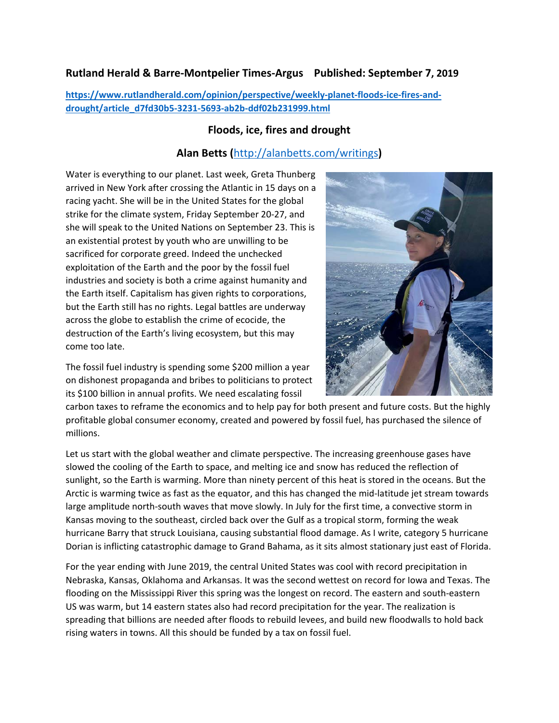## **Rutland Herald & Barre-Montpelier Times-Argus Published: September 7, 2019**

**[https://www.rutlandherald.com/opinion/perspective/weekly-planet-floods-ice-fires-and](https://www.rutlandherald.com/opinion/perspective/weekly-planet-floods-ice-fires-and-drought/article_d7fd30b5-3231-5693-ab2b-ddf02b231999.html)[drought/article\\_d7fd30b5-3231-5693-ab2b-ddf02b231999.html](https://www.rutlandherald.com/opinion/perspective/weekly-planet-floods-ice-fires-and-drought/article_d7fd30b5-3231-5693-ab2b-ddf02b231999.html)**

## **Floods, ice, fires and drought**

## **Alan Betts (**<http://alanbetts.com/writings>**)**

Water is everything to our planet. Last week, Greta Thunberg arrived in New York after crossing the Atlantic in 15 days on a racing yacht. She will be in the United States for the global strike for the climate system, Friday September 20-27, and she will speak to the United Nations on September 23. This is an existential protest by youth who are unwilling to be sacrificed for corporate greed. Indeed the unchecked exploitation of the Earth and the poor by the fossil fuel industries and society is both a crime against humanity and the Earth itself. Capitalism has given rights to corporations, but the Earth still has no rights. Legal battles are underway across the globe to establish the crime of ecocide, the destruction of the Earth's living ecosystem, but this may come too late.



The fossil fuel industry is spending some \$200 million a year on dishonest propaganda and bribes to politicians to protect its \$100 billion in annual profits. We need escalating fossil

carbon taxes to reframe the economics and to help pay for both present and future costs. But the highly profitable global consumer economy, created and powered by fossil fuel, has purchased the silence of millions.

Let us start with the global weather and climate perspective. The increasing greenhouse gases have slowed the cooling of the Earth to space, and melting ice and snow has reduced the reflection of sunlight, so the Earth is warming. More than ninety percent of this heat is stored in the oceans. But the Arctic is warming twice as fast as the equator, and this has changed the mid-latitude jet stream towards large amplitude north-south waves that move slowly. In July for the first time, a convective storm in Kansas moving to the southeast, circled back over the Gulf as a tropical storm, forming the weak hurricane Barry that struck Louisiana, causing substantial flood damage. As I write, category 5 hurricane Dorian is inflicting catastrophic damage to Grand Bahama, as it sits almost stationary just east of Florida.

For the year ending with June 2019, the central United States was cool with record precipitation in Nebraska, Kansas, Oklahoma and Arkansas. It was the second wettest on record for Iowa and Texas. The flooding on the Mississippi River this spring was the longest on record. The eastern and south-eastern US was warm, but 14 eastern states also had record precipitation for the year. The realization is spreading that billions are needed after floods to rebuild levees, and build new floodwalls to hold back rising waters in towns. All this should be funded by a tax on fossil fuel.